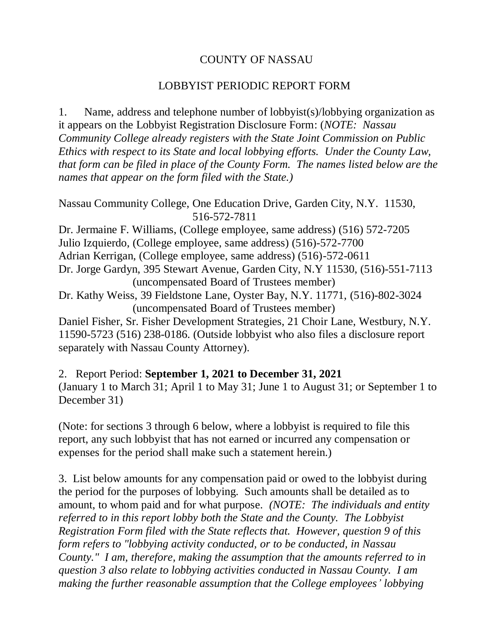## COUNTY OF NASSAU

## LOBBYIST PERIODIC REPORT FORM

1. Name, address and telephone number of lobbyist(s)/lobbying organization as it appears on the Lobbyist Registration Disclosure Form: (*NOTE: Nassau Community College already registers with the State Joint Commission on Public Ethics with respect to its State and local lobbying efforts. Under the County Law, that form can be filed in place of the County Form. The names listed below are the names that appear on the form filed with the State.)*

```
Nassau Community College, One Education Drive, Garden City, N.Y. 11530, 
                516-572-7811
```
Dr. Jermaine F. Williams, (College employee, same address) (516) 572-7205 Julio Izquierdo, (College employee, same address) (516)-572-7700 Adrian Kerrigan, (College employee, same address) (516)-572-0611 Dr. Jorge Gardyn, 395 Stewart Avenue, Garden City, N.Y 11530, (516)-551-7113 (uncompensated Board of Trustees member)

Dr. Kathy Weiss, 39 Fieldstone Lane, Oyster Bay, N.Y. 11771, (516)-802-3024 (uncompensated Board of Trustees member)

Daniel Fisher, Sr. Fisher Development Strategies, 21 Choir Lane, Westbury, N.Y. 11590-5723 (516) 238-0186. (Outside lobbyist who also files a disclosure report separately with Nassau County Attorney).

2. Report Period: **September 1, 2021 to December 31, 2021** (January 1 to March 31; April 1 to May 31; June 1 to August 31; or September 1 to December 31)

(Note: for sections 3 through 6 below, where a lobbyist is required to file this report, any such lobbyist that has not earned or incurred any compensation or expenses for the period shall make such a statement herein.)

3. List below amounts for any compensation paid or owed to the lobbyist during the period for the purposes of lobbying. Such amounts shall be detailed as to amount, to whom paid and for what purpose. *(NOTE: The individuals and entity referred to in this report lobby both the State and the County. The Lobbyist Registration Form filed with the State reflects that. However, question 9 of this form refers to "lobbying activity conducted, or to be conducted, in Nassau County." I am, therefore, making the assumption that the amounts referred to in question 3 also relate to lobbying activities conducted in Nassau County. I am making the further reasonable assumption that the College employees' lobbying*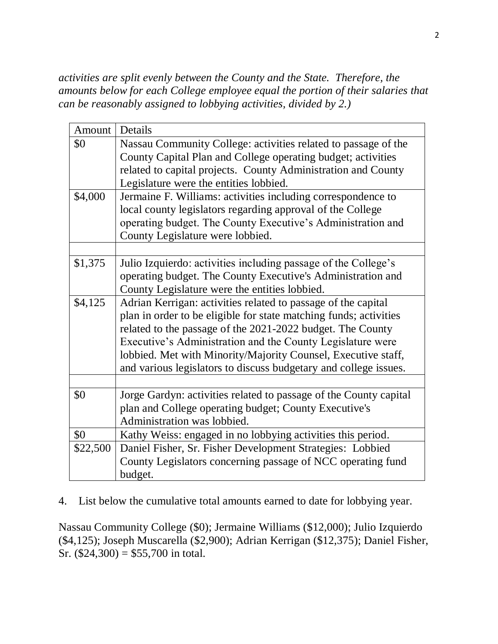*activities are split evenly between the County and the State. Therefore, the amounts below for each College employee equal the portion of their salaries that can be reasonably assigned to lobbying activities, divided by 2.)*

| Amount   Details |                                                                                                                                                                                                                                                                                                                                                                                                     |  |
|------------------|-----------------------------------------------------------------------------------------------------------------------------------------------------------------------------------------------------------------------------------------------------------------------------------------------------------------------------------------------------------------------------------------------------|--|
| \$0              | Nassau Community College: activities related to passage of the<br>County Capital Plan and College operating budget; activities<br>related to capital projects. County Administration and County<br>Legislature were the entities lobbied.                                                                                                                                                           |  |
| \$4,000          | Jermaine F. Williams: activities including correspondence to<br>local county legislators regarding approval of the College<br>operating budget. The County Executive's Administration and<br>County Legislature were lobbied.                                                                                                                                                                       |  |
| \$1,375          |                                                                                                                                                                                                                                                                                                                                                                                                     |  |
|                  | Julio Izquierdo: activities including passage of the College's<br>operating budget. The County Executive's Administration and<br>County Legislature were the entities lobbied.                                                                                                                                                                                                                      |  |
| \$4,125          | Adrian Kerrigan: activities related to passage of the capital<br>plan in order to be eligible for state matching funds; activities<br>related to the passage of the 2021-2022 budget. The County<br>Executive's Administration and the County Legislature were<br>lobbied. Met with Minority/Majority Counsel, Executive staff,<br>and various legislators to discuss budgetary and college issues. |  |
|                  |                                                                                                                                                                                                                                                                                                                                                                                                     |  |
| \$0              | Jorge Gardyn: activities related to passage of the County capital<br>plan and College operating budget; County Executive's<br>Administration was lobbied.                                                                                                                                                                                                                                           |  |
| \$0              | Kathy Weiss: engaged in no lobbying activities this period.                                                                                                                                                                                                                                                                                                                                         |  |
| \$22,500         | Daniel Fisher, Sr. Fisher Development Strategies: Lobbied<br>County Legislators concerning passage of NCC operating fund<br>budget.                                                                                                                                                                                                                                                                 |  |

4. List below the cumulative total amounts earned to date for lobbying year.

Nassau Community College (\$0); Jermaine Williams (\$12,000); Julio Izquierdo (\$4,125); Joseph Muscarella (\$2,900); Adrian Kerrigan (\$12,375); Daniel Fisher, Sr.  $(\$24,300) = \$55,700$  in total.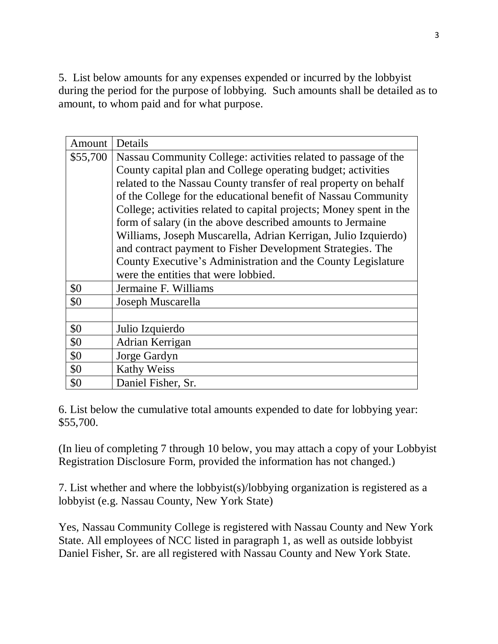5. List below amounts for any expenses expended or incurred by the lobbyist during the period for the purpose of lobbying. Such amounts shall be detailed as to amount, to whom paid and for what purpose.

| Amount   | Details                                                             |  |  |  |
|----------|---------------------------------------------------------------------|--|--|--|
| \$55,700 | Nassau Community College: activities related to passage of the      |  |  |  |
|          | County capital plan and College operating budget; activities        |  |  |  |
|          | related to the Nassau County transfer of real property on behalf    |  |  |  |
|          | of the College for the educational benefit of Nassau Community      |  |  |  |
|          | College; activities related to capital projects; Money spent in the |  |  |  |
|          | form of salary (in the above described amounts to Jermaine          |  |  |  |
|          | Williams, Joseph Muscarella, Adrian Kerrigan, Julio Izquierdo)      |  |  |  |
|          | and contract payment to Fisher Development Strategies. The          |  |  |  |
|          | County Executive's Administration and the County Legislature        |  |  |  |
|          | were the entities that were lobbied.                                |  |  |  |
| \$0      | Jermaine F. Williams                                                |  |  |  |
| \$0      | Joseph Muscarella                                                   |  |  |  |
|          |                                                                     |  |  |  |
| \$0      | Julio Izquierdo                                                     |  |  |  |
| \$0      | Adrian Kerrigan                                                     |  |  |  |
| \$0      | Jorge Gardyn                                                        |  |  |  |
| \$0      | <b>Kathy Weiss</b>                                                  |  |  |  |
| \$0      | Daniel Fisher, Sr.                                                  |  |  |  |

6. List below the cumulative total amounts expended to date for lobbying year: \$55,700.

(In lieu of completing 7 through 10 below, you may attach a copy of your Lobbyist Registration Disclosure Form, provided the information has not changed.)

7. List whether and where the lobbyist(s)/lobbying organization is registered as a lobbyist (e.g. Nassau County, New York State)

Yes, Nassau Community College is registered with Nassau County and New York State. All employees of NCC listed in paragraph 1, as well as outside lobbyist Daniel Fisher, Sr. are all registered with Nassau County and New York State.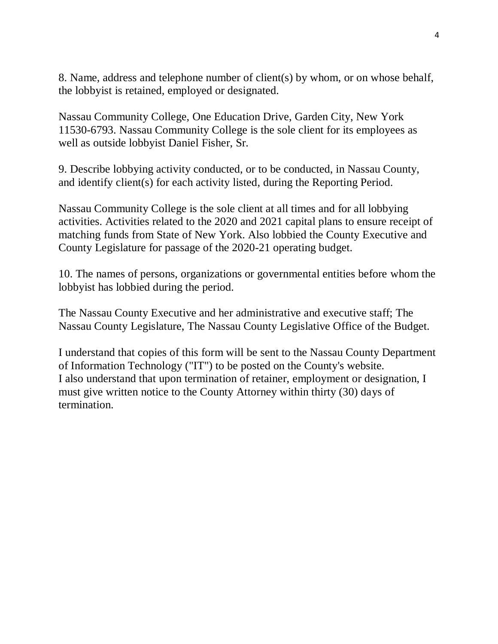8. Name, address and telephone number of client(s) by whom, or on whose behalf, the lobbyist is retained, employed or designated.

Nassau Community College, One Education Drive, Garden City, New York 11530-6793. Nassau Community College is the sole client for its employees as well as outside lobbyist Daniel Fisher, Sr.

9. Describe lobbying activity conducted, or to be conducted, in Nassau County, and identify client(s) for each activity listed, during the Reporting Period.

Nassau Community College is the sole client at all times and for all lobbying activities. Activities related to the 2020 and 2021 capital plans to ensure receipt of matching funds from State of New York. Also lobbied the County Executive and County Legislature for passage of the 2020-21 operating budget.

10. The names of persons, organizations or governmental entities before whom the lobbyist has lobbied during the period.

The Nassau County Executive and her administrative and executive staff; The Nassau County Legislature, The Nassau County Legislative Office of the Budget.

I understand that copies of this form will be sent to the Nassau County Department of Information Technology ("IT") to be posted on the County's website. I also understand that upon termination of retainer, employment or designation, I must give written notice to the County Attorney within thirty (30) days of termination.